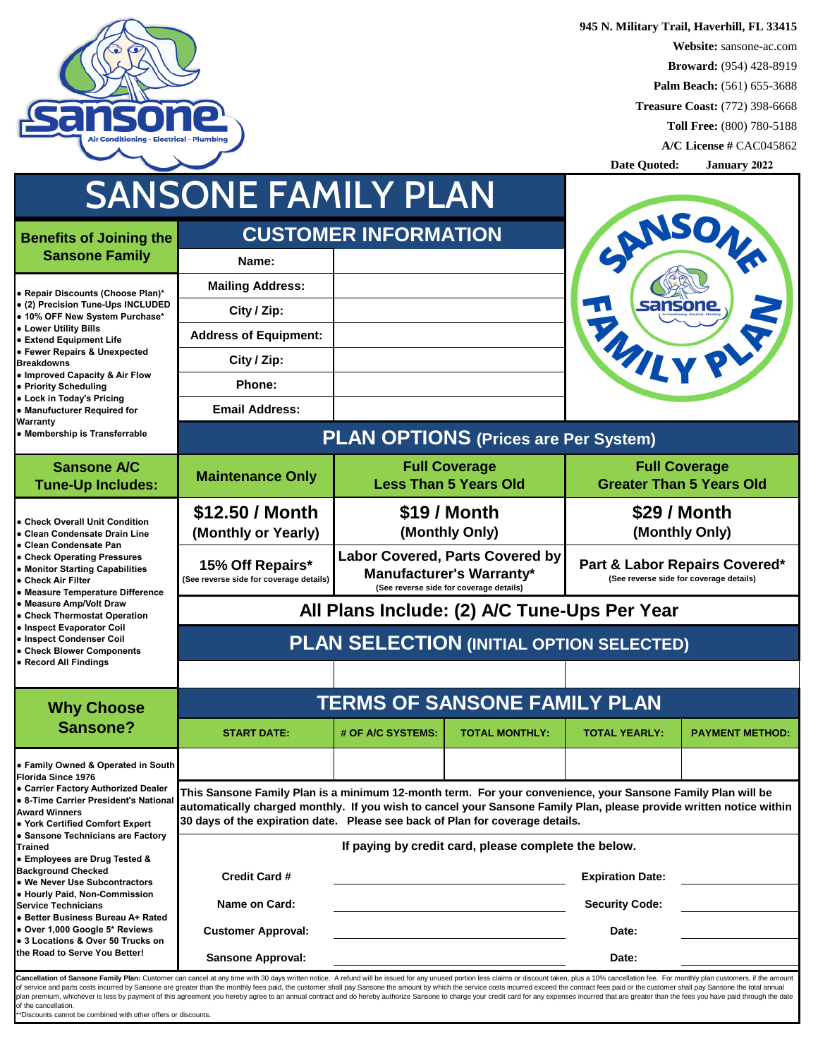

**945 N. Military Trail, Haverhill, FL 33415 Website:** sansone-ac.com **Broward:** (954) 428-8919 **Palm Beach:** (561) 655-3688 **Treasure Coast:** (772) 398-6668 **Toll Free:** (800) 780-5188 **A/C License #** CAC045862

|                                                                                                                                                                                                                                                                                                                                                                                                                                                                 |                                                                                                                                                                                                                                                                                                                     |                                                                                                                      |                                                      | Date Quoted:                                                             | <b>January 2022</b>                                     |  |  |
|-----------------------------------------------------------------------------------------------------------------------------------------------------------------------------------------------------------------------------------------------------------------------------------------------------------------------------------------------------------------------------------------------------------------------------------------------------------------|---------------------------------------------------------------------------------------------------------------------------------------------------------------------------------------------------------------------------------------------------------------------------------------------------------------------|----------------------------------------------------------------------------------------------------------------------|------------------------------------------------------|--------------------------------------------------------------------------|---------------------------------------------------------|--|--|
|                                                                                                                                                                                                                                                                                                                                                                                                                                                                 | SANSONE FAMILY PLAN                                                                                                                                                                                                                                                                                                 |                                                                                                                      |                                                      |                                                                          |                                                         |  |  |
| <b>Benefits of Joining the</b>                                                                                                                                                                                                                                                                                                                                                                                                                                  |                                                                                                                                                                                                                                                                                                                     | <b>CUSTOMER INFORMATION</b>                                                                                          |                                                      |                                                                          |                                                         |  |  |
| <b>Sansone Family</b>                                                                                                                                                                                                                                                                                                                                                                                                                                           | Name:                                                                                                                                                                                                                                                                                                               |                                                                                                                      |                                                      | ANSON                                                                    |                                                         |  |  |
| • Repair Discounts (Choose Plan)*<br>• (2) Precision Tune-Ups INCLUDED<br>• 10% OFF New System Purchase*                                                                                                                                                                                                                                                                                                                                                        | <b>Mailing Address:</b>                                                                                                                                                                                                                                                                                             |                                                                                                                      |                                                      |                                                                          |                                                         |  |  |
|                                                                                                                                                                                                                                                                                                                                                                                                                                                                 | City / Zip:                                                                                                                                                                                                                                                                                                         |                                                                                                                      |                                                      | <b>sansone</b>                                                           |                                                         |  |  |
| • Lower Utility Bills<br><b>• Extend Equipment Life</b>                                                                                                                                                                                                                                                                                                                                                                                                         | <b>Address of Equipment:</b>                                                                                                                                                                                                                                                                                        |                                                                                                                      |                                                      |                                                                          |                                                         |  |  |
| • Fewer Repairs & Unexpected<br><b>Breakdowns</b>                                                                                                                                                                                                                                                                                                                                                                                                               | City / Zip:                                                                                                                                                                                                                                                                                                         |                                                                                                                      |                                                      |                                                                          |                                                         |  |  |
| • Improved Capacity & Air Flow<br>• Priority Scheduling                                                                                                                                                                                                                                                                                                                                                                                                         | <b>Phone:</b>                                                                                                                                                                                                                                                                                                       |                                                                                                                      |                                                      |                                                                          |                                                         |  |  |
| • Lock in Today's Pricing<br>• Manufucturer Required for                                                                                                                                                                                                                                                                                                                                                                                                        | <b>Email Address:</b>                                                                                                                                                                                                                                                                                               |                                                                                                                      |                                                      |                                                                          |                                                         |  |  |
| <b>Warranty</b><br>• Membership is Transferrable                                                                                                                                                                                                                                                                                                                                                                                                                | <b>PLAN OPTIONS (Prices are Per System)</b>                                                                                                                                                                                                                                                                         |                                                                                                                      |                                                      |                                                                          |                                                         |  |  |
| <b>Sansone A/C</b><br><b>Tune-Up Includes:</b>                                                                                                                                                                                                                                                                                                                                                                                                                  | <b>Maintenance Only</b>                                                                                                                                                                                                                                                                                             |                                                                                                                      | <b>Full Coverage</b><br><b>Less Than 5 Years Old</b> |                                                                          | <b>Full Coverage</b><br><b>Greater Than 5 Years Old</b> |  |  |
| <b>• Check Overall Unit Condition</b>                                                                                                                                                                                                                                                                                                                                                                                                                           | \$12.50 / Month                                                                                                                                                                                                                                                                                                     | \$19 / Month                                                                                                         |                                                      | \$29 / Month                                                             |                                                         |  |  |
| l● Clean Condensate Drain Line<br>• Clean Condensate Pan                                                                                                                                                                                                                                                                                                                                                                                                        | (Monthly or Yearly)                                                                                                                                                                                                                                                                                                 | (Monthly Only)                                                                                                       |                                                      | (Monthly Only)                                                           |                                                         |  |  |
| • Check Operating Pressures<br>• Monitor Starting Capabilities<br>• Check Air Filter<br>• Measure Temperature Difference                                                                                                                                                                                                                                                                                                                                        | 15% Off Repairs*<br>(See reverse side for coverage details)                                                                                                                                                                                                                                                         | <b>Labor Covered, Parts Covered by</b><br><b>Manufacturer's Warranty*</b><br>(See reverse side for coverage details) |                                                      | Part & Labor Repairs Covered*<br>(See reverse side for coverage details) |                                                         |  |  |
| • Measure Amp/Volt Draw<br><b>Check Thermostat Operation</b>                                                                                                                                                                                                                                                                                                                                                                                                    | All Plans Include: (2) A/C Tune-Ups Per Year                                                                                                                                                                                                                                                                        |                                                                                                                      |                                                      |                                                                          |                                                         |  |  |
| • Inspect Evaporator Coil<br>• Inspect Condenser Coil<br>• Check Blower Components                                                                                                                                                                                                                                                                                                                                                                              | <b>PLAN SELECTION (INITIAL OPTION SELECTED)</b>                                                                                                                                                                                                                                                                     |                                                                                                                      |                                                      |                                                                          |                                                         |  |  |
| • Record All Findings                                                                                                                                                                                                                                                                                                                                                                                                                                           |                                                                                                                                                                                                                                                                                                                     |                                                                                                                      |                                                      |                                                                          |                                                         |  |  |
| <b>Why Choose</b>                                                                                                                                                                                                                                                                                                                                                                                                                                               | <b>TERMS OF SANSONE FAMILY PLAN</b>                                                                                                                                                                                                                                                                                 |                                                                                                                      |                                                      |                                                                          |                                                         |  |  |
| <b>Sansone?</b>                                                                                                                                                                                                                                                                                                                                                                                                                                                 | <b>START DATE:</b>                                                                                                                                                                                                                                                                                                  | # OF A/C SYSTEMS:                                                                                                    | <b>TOTAL MONTHLY:</b>                                | <b>TOTAL YEARLY:</b>                                                     | <b>PAYMENT METHOD:</b>                                  |  |  |
| • Family Owned & Operated in South<br>Florida Since 1976                                                                                                                                                                                                                                                                                                                                                                                                        |                                                                                                                                                                                                                                                                                                                     |                                                                                                                      |                                                      |                                                                          |                                                         |  |  |
| • Carrier Factory Authorized Dealer<br>• 8-Time Carrier President's National<br><b>Award Winners</b><br>• York Certified Comfort Expert                                                                                                                                                                                                                                                                                                                         | This Sansone Family Plan is a minimum 12-month term. For your convenience, your Sansone Family Plan will be<br>automatically charged monthly. If you wish to cancel your Sansone Family Plan, please provide written notice within<br>30 days of the expiration date. Please see back of Plan for coverage details. |                                                                                                                      |                                                      |                                                                          |                                                         |  |  |
| • Sansone Technicians are Factory<br><b>Trained</b><br>• Employees are Drug Tested &                                                                                                                                                                                                                                                                                                                                                                            | If paying by credit card, please complete the below.                                                                                                                                                                                                                                                                |                                                                                                                      |                                                      |                                                                          |                                                         |  |  |
| <b>Background Checked</b><br>• We Never Use Subcontractors                                                                                                                                                                                                                                                                                                                                                                                                      | <b>Credit Card #</b>                                                                                                                                                                                                                                                                                                |                                                                                                                      |                                                      | <b>Expiration Date:</b>                                                  |                                                         |  |  |
| • Hourly Paid, Non-Commission<br><b>Service Technicians</b>                                                                                                                                                                                                                                                                                                                                                                                                     | Name on Card:                                                                                                                                                                                                                                                                                                       |                                                                                                                      |                                                      | <b>Security Code:</b>                                                    |                                                         |  |  |
| <b>• Better Business Bureau A+ Rated</b><br>• Over 1,000 Google 5* Reviews                                                                                                                                                                                                                                                                                                                                                                                      | <b>Customer Approval:</b>                                                                                                                                                                                                                                                                                           |                                                                                                                      |                                                      | Date:                                                                    |                                                         |  |  |
| • 3 Locations & Over 50 Trucks on<br>the Road to Serve You Better!                                                                                                                                                                                                                                                                                                                                                                                              | <b>Sansone Approval:</b>                                                                                                                                                                                                                                                                                            |                                                                                                                      |                                                      | Date:                                                                    |                                                         |  |  |
| Cancellation of Sansone Family Plan: Customer can cancel at any time with 30 days written notice. A refund will be issued for any unused portion less claims or discount taken, plus a 10% cancellation fee. For monthly plan<br>of service and parts costs incurred by Sansone are greater than the monthly fees paid, the customer shall pay Sansone the amount by which the service costs incurred exceed the contract fees paid or the customer shall pay S |                                                                                                                                                                                                                                                                                                                     |                                                                                                                      |                                                      |                                                                          |                                                         |  |  |
| plan premium, whichever is less by payment of this agreement you hereby agree to an annual contract and do hereby authorize Sansone to charge your credit card for any expenses incurred that are greater than the fees you ha                                                                                                                                                                                                                                  |                                                                                                                                                                                                                                                                                                                     |                                                                                                                      |                                                      |                                                                          |                                                         |  |  |

of the cancellation. \*\*Discounts cannot be combined with other offers or discounts.